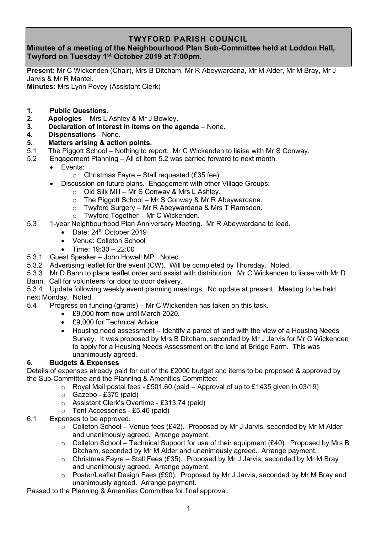## **TWYFORD PARISH COUNCIL**

## **Minutes of a meeting of the Neighbourhood Plan Sub-Committee held at Loddon Hall, Twyford on Tuesday 1 st October 2019 at 7:00pm.**

**Present:** Mr C Wickenden (Chair), Mrs B Ditcham, Mr R Abeywardana, Mr M Alder, Mr M Bray, Mr J Jarvis & Mr R Mantel.

**Minutes:** Mrs Lynn Povey (Assistant Clerk)

- **1. Public Questions**.
- **2. Apologies** Mrs L Ashley & Mr J Bowley.
- **3. Declaration of interest in items on the agenda** None.
- **4. Dispensations** None.
- **5. Matters arising & action points.**
- 5.1 The Piggott School Nothing to report. Mr C Wickenden to liaise with Mr S Conway.
- 5.2 Engagement Planning All of item 5.2 was carried forward to next month.
	- Events:
		- $\circ$  Christmas Fayre Stall requested (£35 fee).
	- Discussion on future plans. Engagement with other Village Groups:
		- o Old Silk Mill Mr S Conway & Mrs L Ashley.
		- $\circ$  The Piggott School Mr S Conway & Mr R Abeywardana.
		- o Twyford Surgery Mr R Abeywardana & Mrs T Ramsden.
		- o Twyford Together Mr C Wickenden.
- 5.3 1-year Neighbourhood Plan Anniversary Meeting. Mr R Abeywardana to lead.
	- Date: 24<sup>th</sup> October 2019
	- Venue: Colleton School
	- Time: 19:30 22:00
- 5.3.1 Guest Speaker John Howell MP. Noted.
- 5.3.2 Advertising leaflet for the event (CW). Will be completed by Thursday. Noted.
- 5.3.3 Mr D Bann to place leaflet order and assist with distribution. Mr C Wickenden to liaise with Mr D Bann. Call for volunteers for door to door delivery.
- 

5.3.4 Update following weekly event planning meetings. No update at present. Meeting to be held next Monday. Noted.

- 5.4 Progress on funding (grants) Mr C Wickenden has taken on this task.
	- £9,000 from now until March 2020.
	- £9,000 for Technical Advice
	- Housing need assessment Identify a parcel of land with the view of a Housing Needs Survey. It was proposed by Mrs B Ditcham, seconded by Mr J Jarvis for Mr C Wickenden to apply for a Housing Needs Assessment on the land at Bridge Farm. This was unanimously agreed.

## **6. Budgets & Expenses**

Details of expenses already paid for out of the £2000 budget and items to be proposed & approved by the Sub-Committee and the Planning & Amenities Committee:

- $\circ$  Royal Mail postal fees £501.60 (paid Approval of up to £1435 given in 03/19)
- o Gazebo £375 (paid)
- o Assistant Clerk's Overtime £313.74 (paid)
- o Tent Accessories £5.40 (paid)
- 6.1 Expenses to be approved.
	- $\circ$  Colleton School Venue fees (£42). Proposed by Mr J Jarvis, seconded by Mr M Alder and unanimously agreed. Arrange payment.
	- $\circ$  Colleton School Technical Support for use of their equipment (£40). Proposed by Mrs B Ditcham, seconded by Mr M Alder and unanimously agreed. Arrange payment.
	- $\circ$  Christmas Fayre Stall Fees (£35). Proposed by Mr J Jarvis, seconded by Mr M Bray and unanimously agreed. Arrange payment.
	- o Poster/Leaflet Design Fees (£90). Proposed by Mr J Jarvis, seconded by Mr M Bray and unanimously agreed. Arrange payment.

Passed to the Planning & Amenities Committee for final approval.